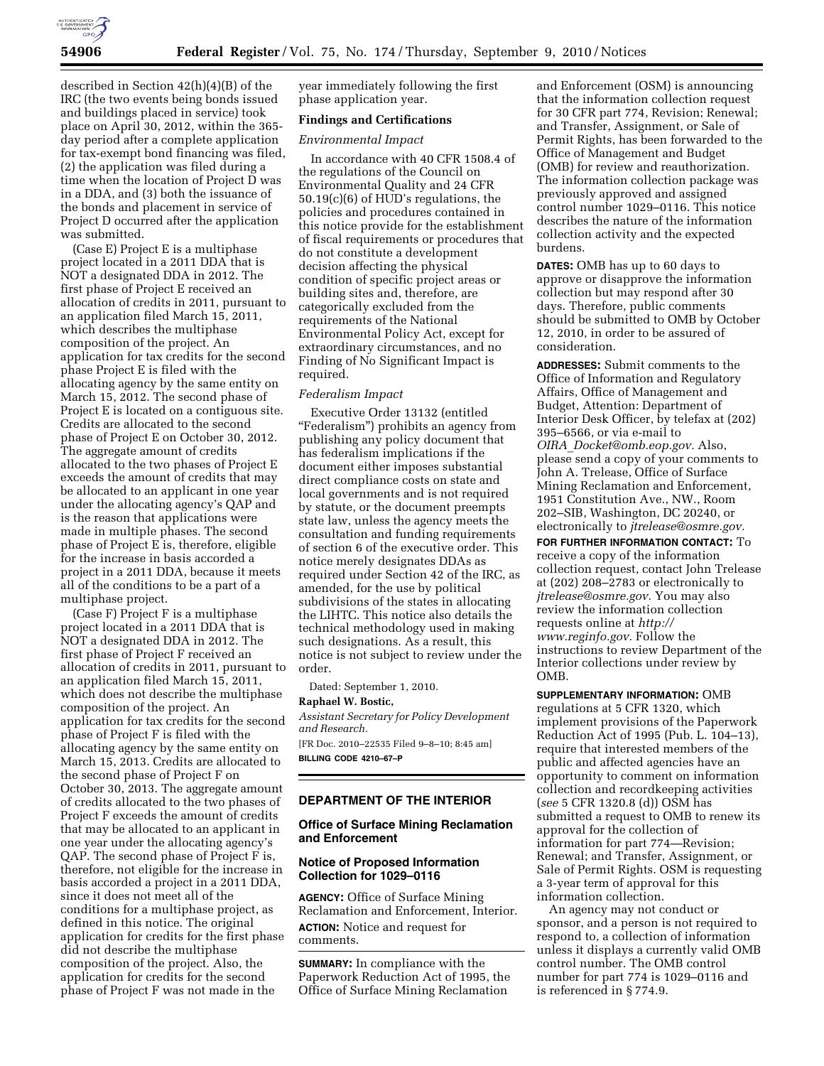

described in Section 42(h)(4)(B) of the IRC (the two events being bonds issued and buildings placed in service) took place on April 30, 2012, within the 365 day period after a complete application for tax-exempt bond financing was filed, (2) the application was filed during a time when the location of Project D was in a DDA, and (3) both the issuance of the bonds and placement in service of Project D occurred after the application was submitted.

(Case E) Project E is a multiphase project located in a 2011 DDA that is NOT a designated DDA in 2012. The first phase of Project E received an allocation of credits in 2011, pursuant to an application filed March 15, 2011, which describes the multiphase composition of the project. An application for tax credits for the second phase Project E is filed with the allocating agency by the same entity on March 15, 2012. The second phase of Project E is located on a contiguous site. Credits are allocated to the second phase of Project E on October 30, 2012. The aggregate amount of credits allocated to the two phases of Project E exceeds the amount of credits that may be allocated to an applicant in one year under the allocating agency's QAP and is the reason that applications were made in multiple phases. The second phase of Project E is, therefore, eligible for the increase in basis accorded a project in a 2011 DDA, because it meets all of the conditions to be a part of a multiphase project.

(Case F) Project F is a multiphase project located in a 2011 DDA that is NOT a designated DDA in 2012. The first phase of Project F received an allocation of credits in 2011, pursuant to an application filed March 15, 2011, which does not describe the multiphase composition of the project. An application for tax credits for the second phase of Project F is filed with the allocating agency by the same entity on March 15, 2013. Credits are allocated to the second phase of Project F on October 30, 2013. The aggregate amount of credits allocated to the two phases of Project F exceeds the amount of credits that may be allocated to an applicant in one year under the allocating agency's QAP. The second phase of Project F is, therefore, not eligible for the increase in basis accorded a project in a 2011 DDA, since it does not meet all of the conditions for a multiphase project, as defined in this notice. The original application for credits for the first phase did not describe the multiphase composition of the project. Also, the application for credits for the second phase of Project F was not made in the

year immediately following the first phase application year.

## **Findings and Certifications**

#### *Environmental Impact*

In accordance with 40 CFR 1508.4 of the regulations of the Council on Environmental Quality and 24 CFR 50.19(c)(6) of HUD's regulations, the policies and procedures contained in this notice provide for the establishment of fiscal requirements or procedures that do not constitute a development decision affecting the physical condition of specific project areas or building sites and, therefore, are categorically excluded from the requirements of the National Environmental Policy Act, except for extraordinary circumstances, and no Finding of No Significant Impact is required.

#### *Federalism Impact*

Executive Order 13132 (entitled ''Federalism'') prohibits an agency from publishing any policy document that has federalism implications if the document either imposes substantial direct compliance costs on state and local governments and is not required by statute, or the document preempts state law, unless the agency meets the consultation and funding requirements of section 6 of the executive order. This notice merely designates DDAs as required under Section 42 of the IRC, as amended, for the use by political subdivisions of the states in allocating the LIHTC. This notice also details the technical methodology used in making such designations. As a result, this notice is not subject to review under the order.

Dated: September 1, 2010.

#### **Raphael W. Bostic,**

*Assistant Secretary for Policy Development and Research.* 

[FR Doc. 2010–22535 Filed 9–8–10; 8:45 am] **BILLING CODE 4210–67–P** 

### **DEPARTMENT OF THE INTERIOR**

### **Office of Surface Mining Reclamation and Enforcement**

### **Notice of Proposed Information Collection for 1029–0116**

**AGENCY:** Office of Surface Mining Reclamation and Enforcement, Interior. **ACTION:** Notice and request for comments.

**SUMMARY:** In compliance with the Paperwork Reduction Act of 1995, the Office of Surface Mining Reclamation

and Enforcement (OSM) is announcing that the information collection request for 30 CFR part 774, Revision; Renewal; and Transfer, Assignment, or Sale of Permit Rights, has been forwarded to the Office of Management and Budget (OMB) for review and reauthorization. The information collection package was previously approved and assigned control number 1029–0116. This notice describes the nature of the information collection activity and the expected burdens.

**DATES:** OMB has up to 60 days to approve or disapprove the information collection but may respond after 30 days. Therefore, public comments should be submitted to OMB by October 12, 2010, in order to be assured of consideration.

**ADDRESSES:** Submit comments to the Office of Information and Regulatory Affairs, Office of Management and Budget, Attention: Department of Interior Desk Officer, by telefax at (202) 395–6566, or via e-mail to *OIRA*\_*[Docket@omb.eop.gov.](mailto:OIRA_Docket@omb.eop.gov)* Also, please send a copy of your comments to John A. Trelease, Office of Surface Mining Reclamation and Enforcement, 1951 Constitution Ave., NW., Room 202–SIB, Washington, DC 20240, or electronically to *[jtrelease@osmre.gov.](mailto:jtrelease@osmre.gov)* 

**FOR FURTHER INFORMATION CONTACT:** To receive a copy of the information collection request, contact John Trelease at (202) 208–2783 or electronically to *[jtrelease@osmre.gov.](mailto:jtrelease@osmre.gov)* You may also review the information collection requests online at *[http://](http://www.reginfo.gov)  [www.reginfo.gov.](http://www.reginfo.gov)* Follow the instructions to review Department of the Interior collections under review by **OMB** 

**SUPPLEMENTARY INFORMATION:** OMB regulations at 5 CFR 1320, which implement provisions of the Paperwork Reduction Act of 1995 (Pub. L. 104–13), require that interested members of the public and affected agencies have an opportunity to comment on information collection and recordkeeping activities (*see* 5 CFR 1320.8 (d)) OSM has submitted a request to OMB to renew its approval for the collection of information for part 774—Revision; Renewal; and Transfer, Assignment, or Sale of Permit Rights. OSM is requesting a 3-year term of approval for this information collection.

An agency may not conduct or sponsor, and a person is not required to respond to, a collection of information unless it displays a currently valid OMB control number. The OMB control number for part 774 is 1029–0116 and is referenced in § 774.9.